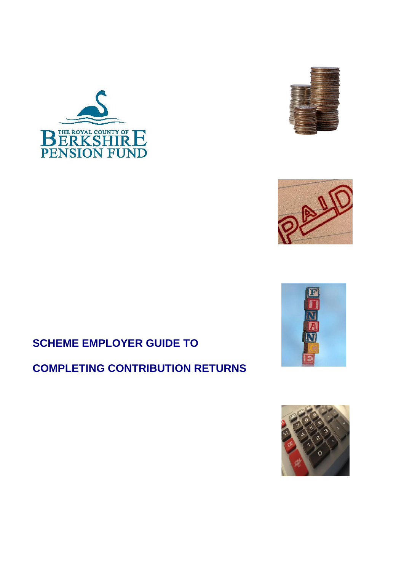







# **SCHEME EMPLOYER GUIDE TO**

# **COMPLETING CONTRIBUTION RETURNS**

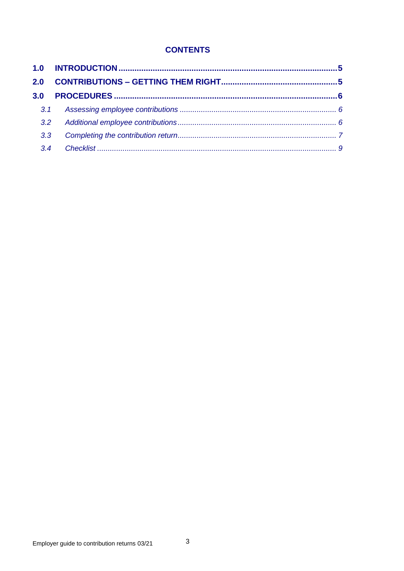# **CONTENTS**

| 3.2<br>3.3 <sub>2</sub><br>3.4 |
|--------------------------------|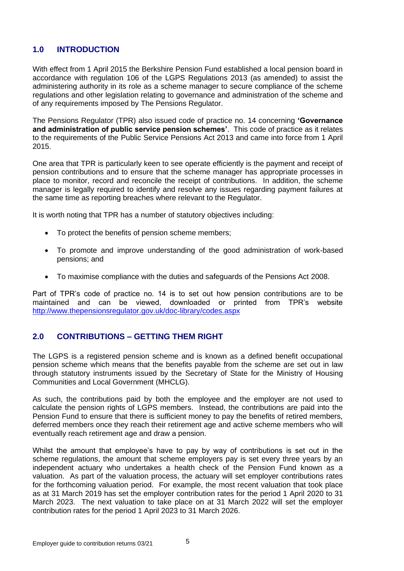## <span id="page-4-0"></span>**1.0 INTRODUCTION**

With effect from 1 April 2015 the Berkshire Pension Fund established a local pension board in accordance with regulation 106 of the LGPS Regulations 2013 (as amended) to assist the administering authority in its role as a scheme manager to secure compliance of the scheme regulations and other legislation relating to governance and administration of the scheme and of any requirements imposed by The Pensions Regulator.

The Pensions Regulator (TPR) also issued code of practice no. 14 concerning **'Governance and administration of public service pension schemes'**. This code of practice as it relates to the requirements of the Public Service Pensions Act 2013 and came into force from 1 April 2015.

One area that TPR is particularly keen to see operate efficiently is the payment and receipt of pension contributions and to ensure that the scheme manager has appropriate processes in place to monitor, record and reconcile the receipt of contributions. In addition, the scheme manager is legally required to identify and resolve any issues regarding payment failures at the same time as reporting breaches where relevant to the Regulator.

It is worth noting that TPR has a number of statutory objectives including:

- To protect the benefits of pension scheme members;
- To promote and improve understanding of the good administration of work-based pensions; and
- To maximise compliance with the duties and safeguards of the Pensions Act 2008.

Part of TPR's code of practice no. 14 is to set out how pension contributions are to be maintained and can be viewed, downloaded or printed from TPR's website <http://www.thepensionsregulator.gov.uk/doc-library/codes.aspx>

### <span id="page-4-1"></span>**2.0 CONTRIBUTIONS – GETTING THEM RIGHT**

The LGPS is a registered pension scheme and is known as a defined benefit occupational pension scheme which means that the benefits payable from the scheme are set out in law through statutory instruments issued by the Secretary of State for the Ministry of Housing Communities and Local Government (MHCLG).

As such, the contributions paid by both the employee and the employer are not used to calculate the pension rights of LGPS members. Instead, the contributions are paid into the Pension Fund to ensure that there is sufficient money to pay the benefits of retired members, deferred members once they reach their retirement age and active scheme members who will eventually reach retirement age and draw a pension.

Whilst the amount that employee's have to pay by way of contributions is set out in the scheme regulations, the amount that scheme employers pay is set every three years by an independent actuary who undertakes a health check of the Pension Fund known as a valuation. As part of the valuation process, the actuary will set employer contributions rates for the forthcoming valuation period. For example, the most recent valuation that took place as at 31 March 2019 has set the employer contribution rates for the period 1 April 2020 to 31 March 2023. The next valuation to take place on at 31 March 2022 will set the employer contribution rates for the period 1 April 2023 to 31 March 2026.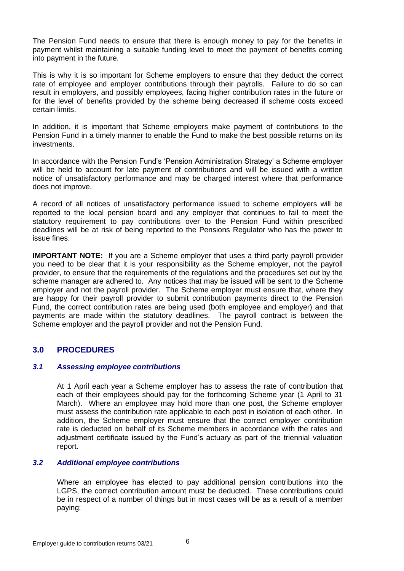The Pension Fund needs to ensure that there is enough money to pay for the benefits in payment whilst maintaining a suitable funding level to meet the payment of benefits coming into payment in the future.

This is why it is so important for Scheme employers to ensure that they deduct the correct rate of employee and employer contributions through their payrolls. Failure to do so can result in employers, and possibly employees, facing higher contribution rates in the future or for the level of benefits provided by the scheme being decreased if scheme costs exceed certain limits.

In addition, it is important that Scheme employers make payment of contributions to the Pension Fund in a timely manner to enable the Fund to make the best possible returns on its investments.

In accordance with the Pension Fund's 'Pension Administration Strategy' a Scheme employer will be held to account for late payment of contributions and will be issued with a written notice of unsatisfactory performance and may be charged interest where that performance does not improve.

A record of all notices of unsatisfactory performance issued to scheme employers will be reported to the local pension board and any employer that continues to fail to meet the statutory requirement to pay contributions over to the Pension Fund within prescribed deadlines will be at risk of being reported to the Pensions Regulator who has the power to issue fines.

**IMPORTANT NOTE:** If you are a Scheme employer that uses a third party payroll provider you need to be clear that it is your responsibility as the Scheme employer, not the payroll provider, to ensure that the requirements of the regulations and the procedures set out by the scheme manager are adhered to. Any notices that may be issued will be sent to the Scheme employer and not the payroll provider. The Scheme employer must ensure that, where they are happy for their payroll provider to submit contribution payments direct to the Pension Fund, the correct contribution rates are being used (both employee and employer) and that payments are made within the statutory deadlines. The payroll contract is between the Scheme employer and the payroll provider and not the Pension Fund.

### <span id="page-5-0"></span>**3.0 PROCEDURES**

#### <span id="page-5-1"></span>*3.1 Assessing employee contributions*

At 1 April each year a Scheme employer has to assess the rate of contribution that each of their employees should pay for the forthcoming Scheme year (1 April to 31 March). Where an employee may hold more than one post, the Scheme employer must assess the contribution rate applicable to each post in isolation of each other. In addition, the Scheme employer must ensure that the correct employer contribution rate is deducted on behalf of its Scheme members in accordance with the rates and adjustment certificate issued by the Fund's actuary as part of the triennial valuation report.

#### <span id="page-5-2"></span>*3.2 Additional employee contributions*

Where an employee has elected to pay additional pension contributions into the LGPS, the correct contribution amount must be deducted. These contributions could be in respect of a number of things but in most cases will be as a result of a member paying: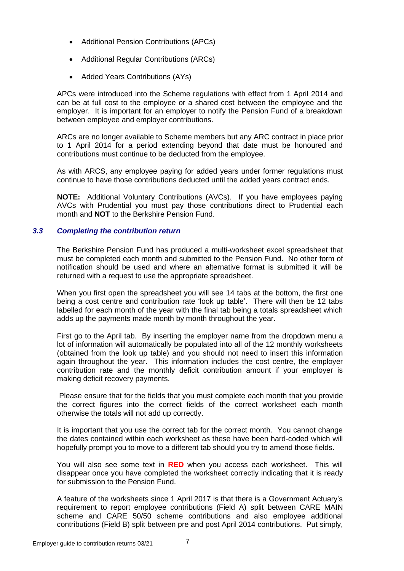- Additional Pension Contributions (APCs)
- Additional Regular Contributions (ARCs)
- Added Years Contributions (AYs)

APCs were introduced into the Scheme regulations with effect from 1 April 2014 and can be at full cost to the employee or a shared cost between the employee and the employer. It is important for an employer to notify the Pension Fund of a breakdown between employee and employer contributions.

ARCs are no longer available to Scheme members but any ARC contract in place prior to 1 April 2014 for a period extending beyond that date must be honoured and contributions must continue to be deducted from the employee.

As with ARCS, any employee paying for added years under former regulations must continue to have those contributions deducted until the added years contract ends.

**NOTE:** Additional Voluntary Contributions (AVCs). If you have employees paying AVCs with Prudential you must pay those contributions direct to Prudential each month and **NOT** to the Berkshire Pension Fund.

#### <span id="page-6-0"></span>*3.3 Completing the contribution return*

The Berkshire Pension Fund has produced a multi-worksheet excel spreadsheet that must be completed each month and submitted to the Pension Fund. No other form of notification should be used and where an alternative format is submitted it will be returned with a request to use the appropriate spreadsheet.

When you first open the spreadsheet you will see 14 tabs at the bottom, the first one being a cost centre and contribution rate 'look up table'. There will then be 12 tabs labelled for each month of the year with the final tab being a totals spreadsheet which adds up the payments made month by month throughout the year.

First go to the April tab. By inserting the employer name from the dropdown menu a lot of information will automatically be populated into all of the 12 monthly worksheets (obtained from the look up table) and you should not need to insert this information again throughout the year. This information includes the cost centre, the employer contribution rate and the monthly deficit contribution amount if your employer is making deficit recovery payments.

Please ensure that for the fields that you must complete each month that you provide the correct figures into the correct fields of the correct worksheet each month otherwise the totals will not add up correctly.

It is important that you use the correct tab for the correct month. You cannot change the dates contained within each worksheet as these have been hard-coded which will hopefully prompt you to move to a different tab should you try to amend those fields.

You will also see some text in **RED** when you access each worksheet. This will disappear once you have completed the worksheet correctly indicating that it is ready for submission to the Pension Fund.

A feature of the worksheets since 1 April 2017 is that there is a Government Actuary's requirement to report employee contributions (Field A) split between CARE MAIN scheme and CARE 50/50 scheme contributions and also employee additional contributions (Field B) split between pre and post April 2014 contributions. Put simply,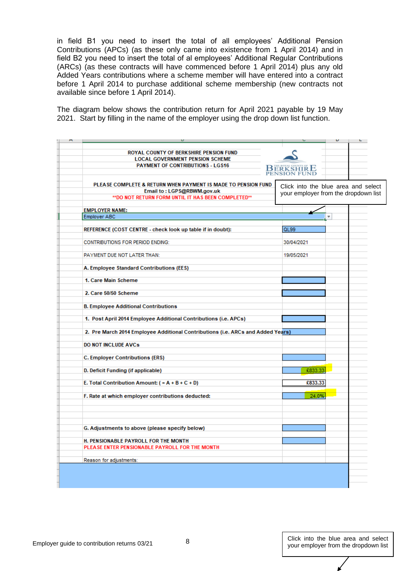in field B1 you need to insert the total of all employees' Additional Pension Contributions (APCs) (as these only came into existence from 1 April 2014) and in field B2 you need to insert the total of al employees' Additional Regular Contributions (ARCs) (as these contracts will have commenced before 1 April 2014) plus any old Added Years contributions where a scheme member will have entered into a contract before 1 April 2014 to purchase additional scheme membership (new contracts not available since before 1 April 2014).

The diagram below shows the contribution return for April 2021 payable by 19 May 2021. Start by filling in the name of the employer using the drop down list function.

|                                                                                                                                                    |                  | υ<br>L                                                                      |
|----------------------------------------------------------------------------------------------------------------------------------------------------|------------------|-----------------------------------------------------------------------------|
| ROYAL COUNTY OF BERKSHIRE PENSION FUND<br><b>LOCAL GOVERNMENT PENSION SCHEME</b><br><b>PAYMENT OF CONTRIBUTIONS - LGS16</b>                        | <b>BERKSHIRE</b> |                                                                             |
| PLEASE COMPLETE & RETURN WHEN PAYMENT IS MADE TO PENSION FUND<br>Email to: LGPS@RBWM.gov.uk<br>** DO NOT RETURN FORM UNTIL IT HAS BEEN COMPLETED** |                  | Click into the blue area and select<br>your employer from the dropdown list |
|                                                                                                                                                    |                  |                                                                             |
| <b>EMPLOYER NAME:</b><br><b>Employer ABC</b>                                                                                                       |                  | ÷                                                                           |
|                                                                                                                                                    |                  |                                                                             |
| REFERENCE (COST CENTRE - check look up table if in doubt):                                                                                         | QL99             |                                                                             |
| <b>CONTRIBUTIONS FOR PERIOD ENDING:</b>                                                                                                            | 30/04/2021       |                                                                             |
| PAYMENT DUE NOT LATER THAN:                                                                                                                        | 19/05/2021       |                                                                             |
| A. Employee Standard Contributions (EES)                                                                                                           |                  |                                                                             |
| 1. Care Main Scheme                                                                                                                                |                  |                                                                             |
| 2. Care 50/50 Scheme                                                                                                                               |                  |                                                                             |
| <b>B. Employee Additional Contributions</b>                                                                                                        |                  |                                                                             |
| 1. Post April 2014 Employee Additional Contributions (i.e. APCs)                                                                                   |                  |                                                                             |
| 2. Pre March 2014 Employee Additional Contributions (i.e. ARCs and Added Years)                                                                    |                  |                                                                             |
| <b>DO NOT INCLUDE AVCs</b>                                                                                                                         |                  |                                                                             |
| <b>C. Employer Contributions (ERS)</b>                                                                                                             |                  |                                                                             |
| D. Deficit Funding (if applicable)                                                                                                                 | £833.33          |                                                                             |
| E. Total Contribution Amount: $( = A + B + C + D)$                                                                                                 | £833.33          |                                                                             |
| F. Rate at which employer contributions deducted:                                                                                                  | 24.0%            |                                                                             |
|                                                                                                                                                    |                  |                                                                             |
| G. Adjustments to above (please specify below)                                                                                                     |                  |                                                                             |
| H. PENSIONABLE PAYROLL FOR THE MONTH                                                                                                               |                  |                                                                             |
| PLEASE ENTER PENSIONABLE PAYROLL FOR THE MONTH                                                                                                     |                  |                                                                             |
| Reason for adjustments:                                                                                                                            |                  |                                                                             |
|                                                                                                                                                    |                  |                                                                             |
|                                                                                                                                                    |                  |                                                                             |
|                                                                                                                                                    |                  |                                                                             |